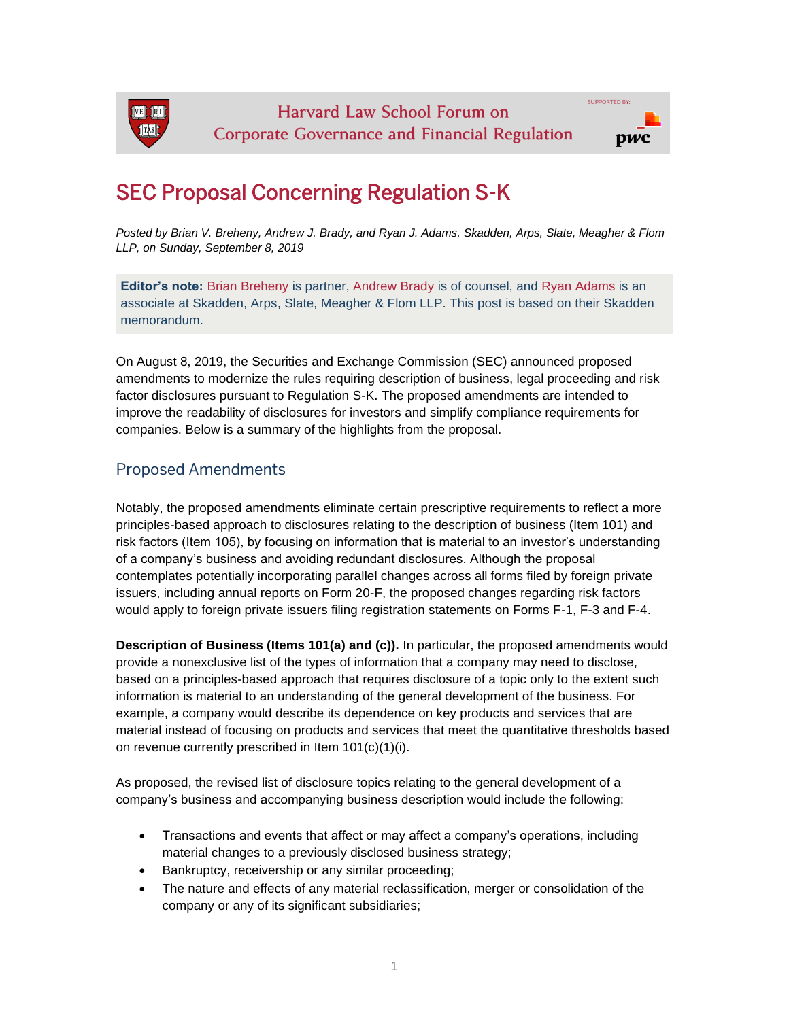

## SEC Proposal Concerning Regulation S-K

*Posted by Brian V. Breheny, Andrew J. Brady, and Ryan J. Adams, Skadden, Arps, Slate, Meagher & Flom LLP, on Sunday, September 8, 2019*

**Editor's note:** [Brian Breheny](https://www.skadden.com/professionals/b/breheny-brian-v) is partner, [Andrew Brady](https://www.skadden.com/professionals/b/brady-andrew-j) is of counsel, and [Ryan Adams](https://www.skadden.com/professionals/a/adams-ryan-j) is an associate at Skadden, Arps, Slate, Meagher & Flom LLP. This post is based on their Skadden memorandum.

On August 8, 2019, the Securities and Exchange Commission (SEC) announced proposed amendments to modernize the rules requiring description of business, legal proceeding and risk factor disclosures pursuant to Regulation S-K. The proposed amendments are intended to improve the readability of disclosures for investors and simplify compliance requirements for companies. Below is a summary of the highlights from the proposal.

## Proposed Amendments

Notably, the proposed amendments eliminate certain prescriptive requirements to reflect a more principles-based approach to disclosures relating to the description of business (Item 101) and risk factors (Item 105), by focusing on information that is material to an investor's understanding of a company's business and avoiding redundant disclosures. Although the proposal contemplates potentially incorporating parallel changes across all forms filed by foreign private issuers, including annual reports on Form 20-F, the proposed changes regarding risk factors would apply to foreign private issuers filing registration statements on Forms F-1, F-3 and F-4.

**Description of Business (Items 101(a) and (c)).** In particular, the proposed amendments would provide a nonexclusive list of the types of information that a company may need to disclose, based on a principles-based approach that requires disclosure of a topic only to the extent such information is material to an understanding of the general development of the business. For example, a company would describe its dependence on key products and services that are material instead of focusing on products and services that meet the quantitative thresholds based on revenue currently prescribed in Item 101(c)(1)(i).

As proposed, the revised list of disclosure topics relating to the general development of a company's business and accompanying business description would include the following:

- Transactions and events that affect or may affect a company's operations, including material changes to a previously disclosed business strategy;
- Bankruptcy, receivership or any similar proceeding;
- The nature and effects of any material reclassification, merger or consolidation of the company or any of its significant subsidiaries;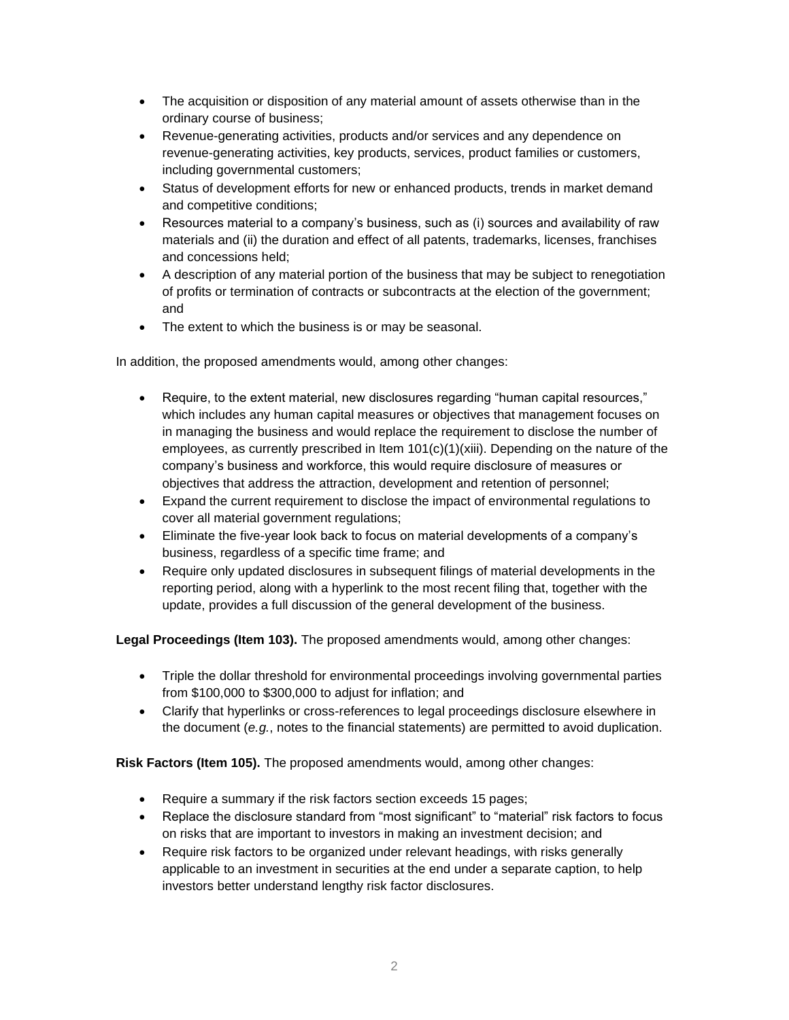- The acquisition or disposition of any material amount of assets otherwise than in the ordinary course of business;
- Revenue-generating activities, products and/or services and any dependence on revenue-generating activities, key products, services, product families or customers, including governmental customers;
- Status of development efforts for new or enhanced products, trends in market demand and competitive conditions;
- Resources material to a company's business, such as (i) sources and availability of raw materials and (ii) the duration and effect of all patents, trademarks, licenses, franchises and concessions held;
- A description of any material portion of the business that may be subject to renegotiation of profits or termination of contracts or subcontracts at the election of the government; and
- The extent to which the business is or may be seasonal.

In addition, the proposed amendments would, among other changes:

- Require, to the extent material, new disclosures regarding "human capital resources," which includes any human capital measures or objectives that management focuses on in managing the business and would replace the requirement to disclose the number of employees, as currently prescribed in Item  $101(c)(1)(xiii)$ . Depending on the nature of the company's business and workforce, this would require disclosure of measures or objectives that address the attraction, development and retention of personnel;
- Expand the current requirement to disclose the impact of environmental regulations to cover all material government regulations;
- Eliminate the five-year look back to focus on material developments of a company's business, regardless of a specific time frame; and
- Require only updated disclosures in subsequent filings of material developments in the reporting period, along with a hyperlink to the most recent filing that, together with the update, provides a full discussion of the general development of the business.

**Legal Proceedings (Item 103).** The proposed amendments would, among other changes:

- Triple the dollar threshold for environmental proceedings involving governmental parties from \$100,000 to \$300,000 to adjust for inflation; and
- Clarify that hyperlinks or cross-references to legal proceedings disclosure elsewhere in the document (*e.g.*, notes to the financial statements) are permitted to avoid duplication.

**Risk Factors (Item 105).** The proposed amendments would, among other changes:

- Require a summary if the risk factors section exceeds 15 pages;
- Replace the disclosure standard from "most significant" to "material" risk factors to focus on risks that are important to investors in making an investment decision; and
- Require risk factors to be organized under relevant headings, with risks generally applicable to an investment in securities at the end under a separate caption, to help investors better understand lengthy risk factor disclosures.